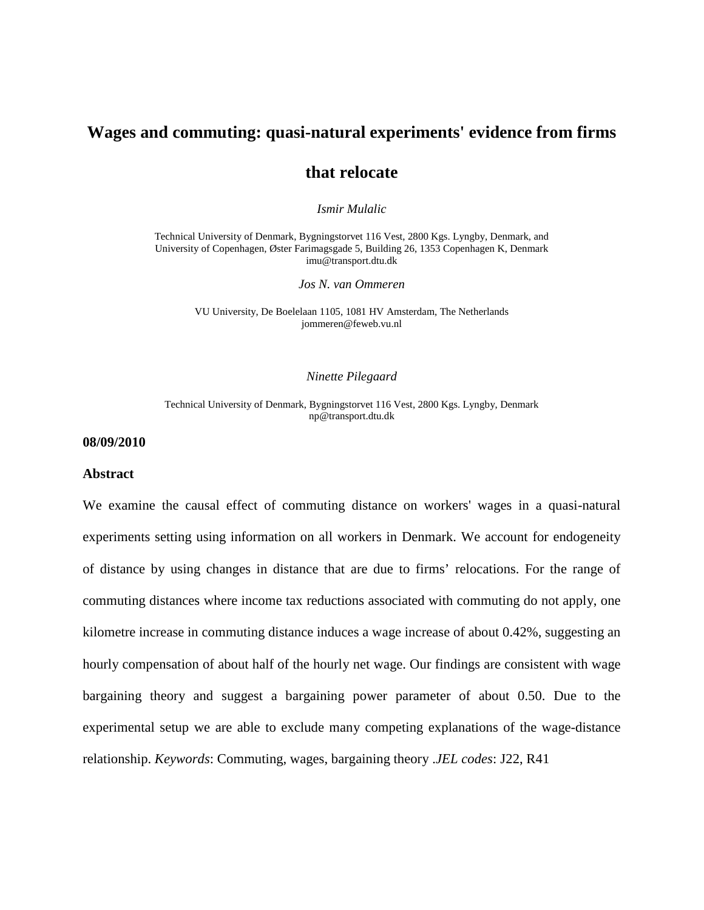## **Wages and commuting: quasi-natural experiments' evidence from firms**

## **that relocate**

*Ismir Mulalic*

Technical University of Denmark, Bygningstorvet 116 Vest, 2800 Kgs. Lyngby, Denmark, and University of Copenhagen, Øster Farimagsgade 5, Building 26, 1353 Copenhagen K, Denmark imu@transport.dtu.dk

*Jos N. van Ommeren*

VU University, De Boelelaan 1105, 1081 HV Amsterdam, The Netherlands jommeren@feweb.vu.nl

#### *Ninette Pilegaard*

#### Technical University of Denmark, Bygningstorvet 116 Vest, 2800 Kgs. Lyngby, Denmark np@transport.dtu.dk

### **08/09/2010**

#### **Abstract**

We examine the causal effect of commuting distance on workers' wages in a quasi-natural experiments setting using information on all workers in Denmark. We account for endogeneity of distance by using changes in distance that are due to firms' relocations. For the range of commuting distances where income tax reductions associated with commuting do not apply, one kilometre increase in commuting distance induces a wage increase of about 0.42%, suggesting an hourly compensation of about half of the hourly net wage. Our findings are consistent with wage bargaining theory and suggest a bargaining power parameter of about 0.50. Due to the experimental setup we are able to exclude many competing explanations of the wage-distance relationship. *Keywords*: Commuting, wages, bargaining theory .*JEL codes*: J22, R41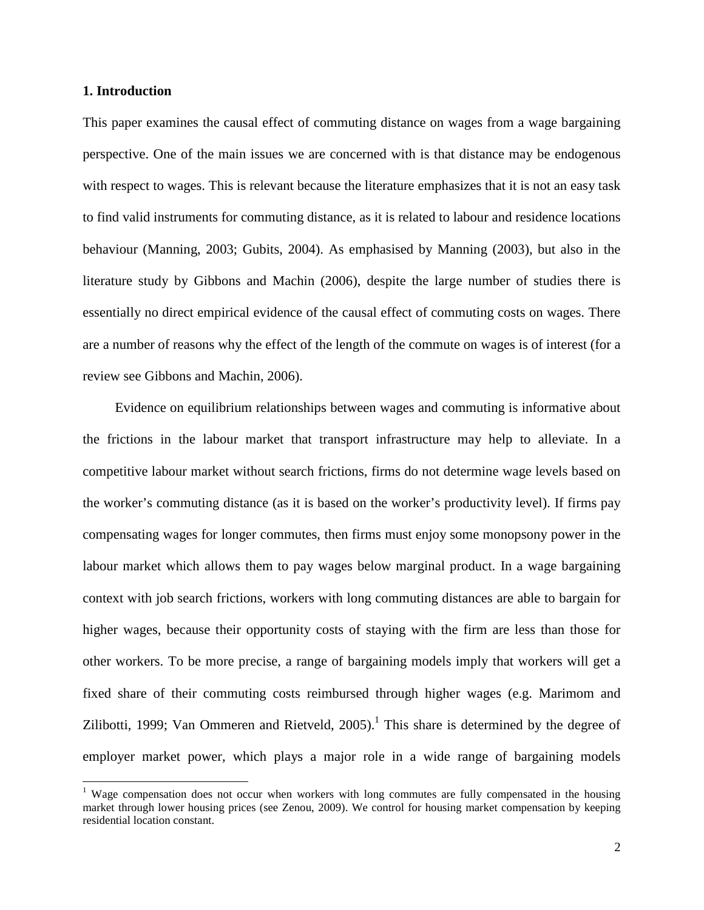#### **1. Introduction**

-

This paper examines the causal effect of commuting distance on wages from a wage bargaining perspective. One of the main issues we are concerned with is that distance may be endogenous with respect to wages. This is relevant because the literature emphasizes that it is not an easy task to find valid instruments for commuting distance, as it is related to labour and residence locations behaviour (Manning, 2003; Gubits, 2004). As emphasised by Manning (2003), but also in the literature study by Gibbons and Machin (2006), despite the large number of studies there is essentially no direct empirical evidence of the causal effect of commuting costs on wages. There are a number of reasons why the effect of the length of the commute on wages is of interest (for a review see Gibbons and Machin, 2006).

Evidence on equilibrium relationships between wages and commuting is informative about the frictions in the labour market that transport infrastructure may help to alleviate. In a competitive labour market without search frictions, firms do not determine wage levels based on the worker's commuting distance (as it is based on the worker's productivity level). If firms pay compensating wages for longer commutes, then firms must enjoy some monopsony power in the labour market which allows them to pay wages below marginal product. In a wage bargaining context with job search frictions, workers with long commuting distances are able to bargain for higher wages, because their opportunity costs of staying with the firm are less than those for other workers. To be more precise, a range of bargaining models imply that workers will get a fixed share of their commuting costs reimbursed through higher wages (e.g. Marimom and Zilibotti, 1999; Van Ommeren and Rietveld,  $2005$ ).<sup>1</sup> This share is determined by the degree of employer market power, which plays a major role in a wide range of bargaining models

<sup>&</sup>lt;sup>1</sup> Wage compensation does not occur when workers with long commutes are fully compensated in the housing market through lower housing prices (see Zenou, 2009). We control for housing market compensation by keeping residential location constant.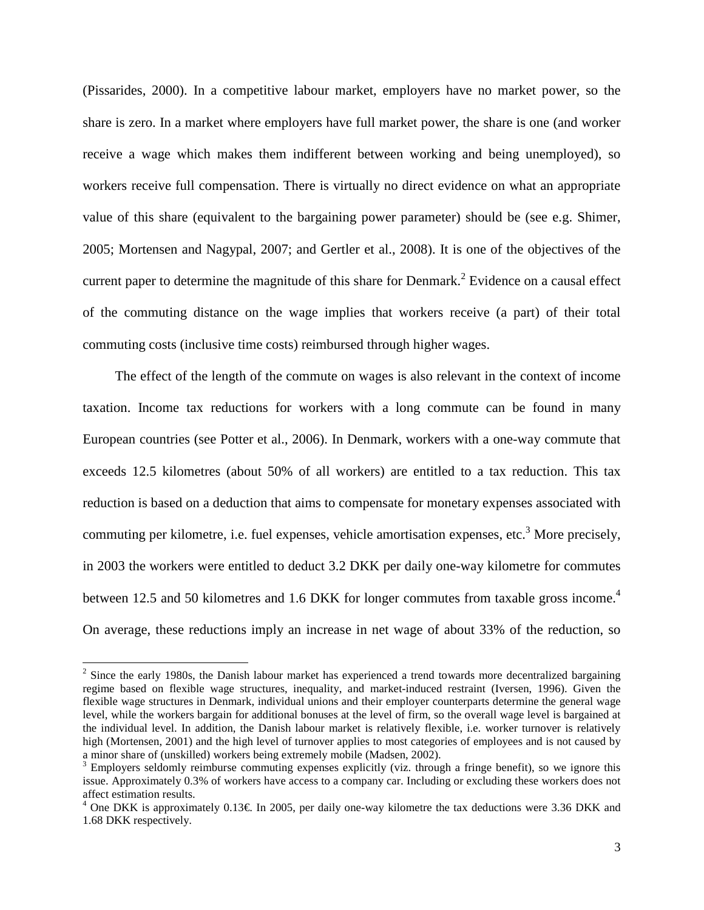(Pissarides, 2000). In a competitive labour market, employers have no market power, so the share is zero. In a market where employers have full market power, the share is one (and worker receive a wage which makes them indifferent between working and being unemployed), so workers receive full compensation. There is virtually no direct evidence on what an appropriate value of this share (equivalent to the bargaining power parameter) should be (see e.g. Shimer, 2005; Mortensen and Nagypal, 2007; and Gertler et al., 2008). It is one of the objectives of the current paper to determine the magnitude of this share for Denmark.<sup>2</sup> Evidence on a causal effect of the commuting distance on the wage implies that workers receive (a part) of their total commuting costs (inclusive time costs) reimbursed through higher wages.

The effect of the length of the commute on wages is also relevant in the context of income taxation. Income tax reductions for workers with a long commute can be found in many European countries (see Potter et al., 2006). In Denmark, workers with a one-way commute that exceeds 12.5 kilometres (about 50% of all workers) are entitled to a tax reduction. This tax reduction is based on a deduction that aims to compensate for monetary expenses associated with commuting per kilometre, i.e. fuel expenses, vehicle amortisation expenses, etc.<sup>3</sup> More precisely, in 2003 the workers were entitled to deduct 3.2 DKK per daily one-way kilometre for commutes between 12.5 and 50 kilometres and 1.6 DKK for longer commutes from taxable gross income.<sup>4</sup> On average, these reductions imply an increase in net wage of about 33% of the reduction, so

 $2$  Since the early 1980s, the Danish labour market has experienced a trend towards more decentralized bargaining regime based on flexible wage structures, inequality, and market-induced restraint (Iversen, 1996). Given the flexible wage structures in Denmark, individual unions and their employer counterparts determine the general wage level, while the workers bargain for additional bonuses at the level of firm, so the overall wage level is bargained at the individual level. In addition, the Danish labour market is relatively flexible, i.e. worker turnover is relatively high (Mortensen, 2001) and the high level of turnover applies to most categories of employees and is not caused by a minor share of (unskilled) workers being extremely mobile (Madsen, 2002).

 $3$  Employers seldomly reimburse commuting expenses explicitly (viz. through a fringe benefit), so we ignore this issue. Approximately 0.3% of workers have access to a company car. Including or excluding these workers does not affect estimation results.

<sup>&</sup>lt;sup>4</sup> One DKK is approximately 0.13€. In 2005, per daily one-way kilometre the tax deductions were 3.36 DKK and 1.68 DKK respectively.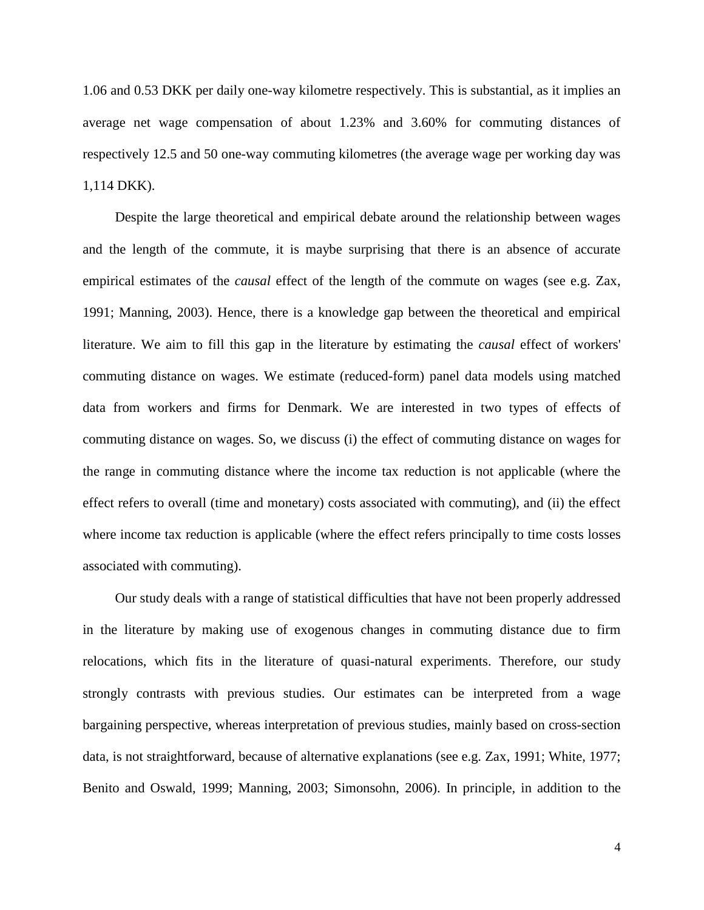1.06 and 0.53 DKK per daily one-way kilometre respectively. This is substantial, as it implies an average net wage compensation of about 1.23% and 3.60% for commuting distances of respectively 12.5 and 50 one-way commuting kilometres (the average wage per working day was 1,114 DKK).

Despite the large theoretical and empirical debate around the relationship between wages and the length of the commute, it is maybe surprising that there is an absence of accurate empirical estimates of the *causal* effect of the length of the commute on wages (see e.g. Zax, 1991; Manning, 2003). Hence, there is a knowledge gap between the theoretical and empirical literature. We aim to fill this gap in the literature by estimating the *causal* effect of workers' commuting distance on wages. We estimate (reduced-form) panel data models using matched data from workers and firms for Denmark. We are interested in two types of effects of commuting distance on wages. So, we discuss (i) the effect of commuting distance on wages for the range in commuting distance where the income tax reduction is not applicable (where the effect refers to overall (time and monetary) costs associated with commuting), and (ii) the effect where income tax reduction is applicable (where the effect refers principally to time costs losses associated with commuting).

Our study deals with a range of statistical difficulties that have not been properly addressed in the literature by making use of exogenous changes in commuting distance due to firm relocations, which fits in the literature of quasi-natural experiments. Therefore, our study strongly contrasts with previous studies. Our estimates can be interpreted from a wage bargaining perspective, whereas interpretation of previous studies, mainly based on cross-section data, is not straightforward, because of alternative explanations (see e.g. Zax, 1991; White, 1977; Benito and Oswald, 1999; Manning, 2003; Simonsohn, 2006). In principle, in addition to the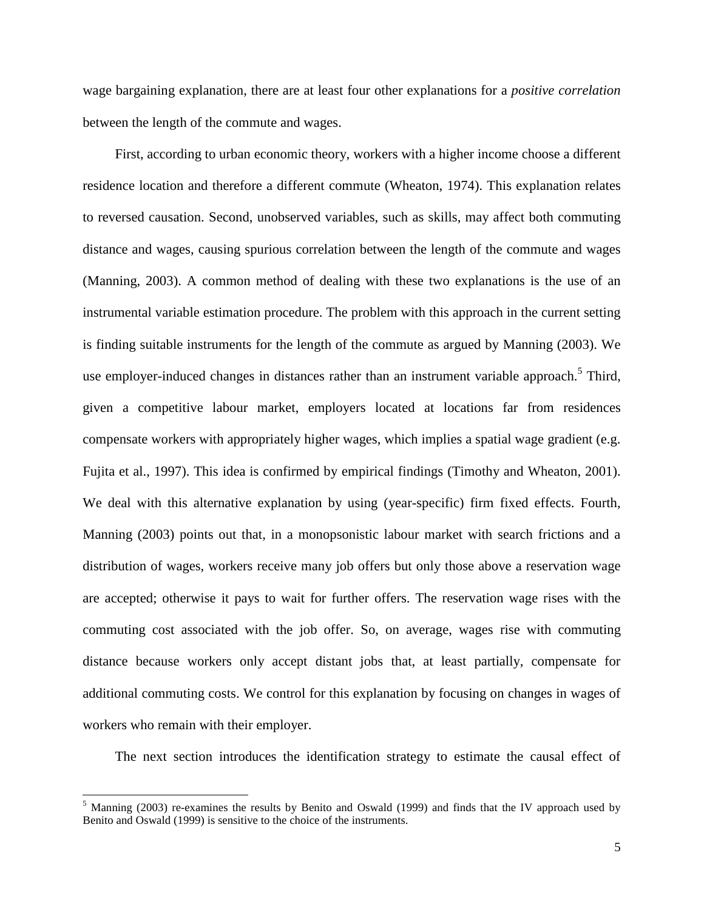wage bargaining explanation, there are at least four other explanations for a *positive correlation*  between the length of the commute and wages.

First, according to urban economic theory, workers with a higher income choose a different residence location and therefore a different commute (Wheaton, 1974). This explanation relates to reversed causation. Second, unobserved variables, such as skills, may affect both commuting distance and wages, causing spurious correlation between the length of the commute and wages (Manning, 2003). A common method of dealing with these two explanations is the use of an instrumental variable estimation procedure. The problem with this approach in the current setting is finding suitable instruments for the length of the commute as argued by Manning (2003). We use employer-induced changes in distances rather than an instrument variable approach.<sup>5</sup> Third, given a competitive labour market, employers located at locations far from residences compensate workers with appropriately higher wages, which implies a spatial wage gradient (e.g. Fujita et al., 1997). This idea is confirmed by empirical findings (Timothy and Wheaton, 2001). We deal with this alternative explanation by using (year-specific) firm fixed effects. Fourth, Manning (2003) points out that, in a monopsonistic labour market with search frictions and a distribution of wages, workers receive many job offers but only those above a reservation wage are accepted; otherwise it pays to wait for further offers. The reservation wage rises with the commuting cost associated with the job offer. So, on average, wages rise with commuting distance because workers only accept distant jobs that, at least partially, compensate for additional commuting costs. We control for this explanation by focusing on changes in wages of workers who remain with their employer.

The next section introduces the identification strategy to estimate the causal effect of

<sup>&</sup>lt;sup>5</sup> Manning (2003) re-examines the results by Benito and Oswald (1999) and finds that the IV approach used by Benito and Oswald (1999) is sensitive to the choice of the instruments.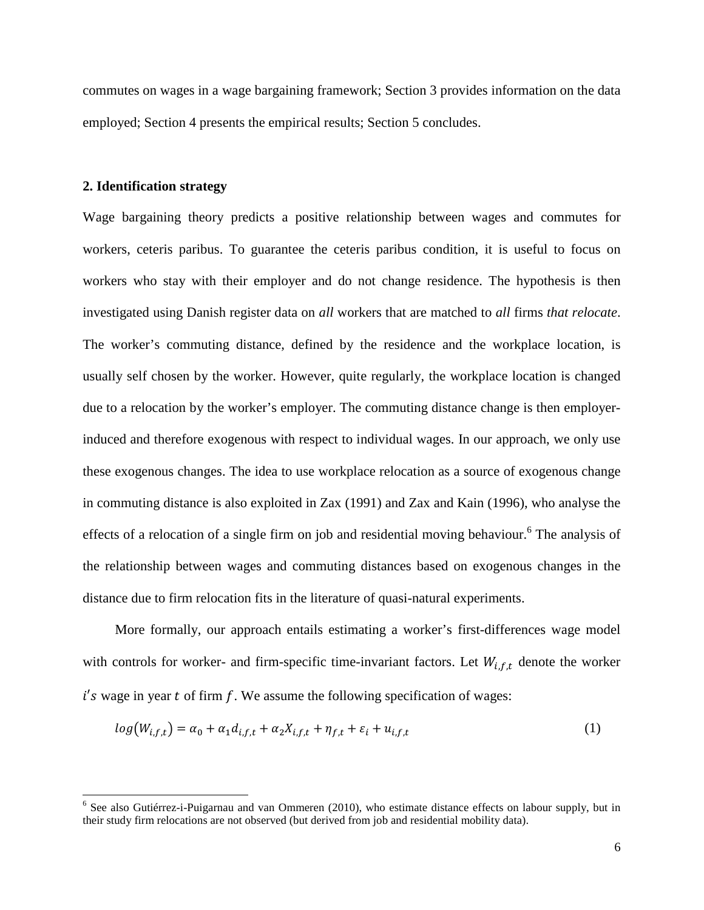commutes on wages in a wage bargaining framework; Section 3 provides information on the data employed; Section 4 presents the empirical results; Section 5 concludes.

#### **2. Identification strategy**

Wage bargaining theory predicts a positive relationship between wages and commutes for workers, ceteris paribus. To guarantee the ceteris paribus condition, it is useful to focus on workers who stay with their employer and do not change residence. The hypothesis is then investigated using Danish register data on *all* workers that are matched to *all* firms *that relocate*. The worker's commuting distance, defined by the residence and the workplace location, is usually self chosen by the worker. However, quite regularly, the workplace location is changed due to a relocation by the worker's employer. The commuting distance change is then employerinduced and therefore exogenous with respect to individual wages. In our approach, we only use these exogenous changes. The idea to use workplace relocation as a source of exogenous change in commuting distance is also exploited in Zax (1991) and Zax and Kain (1996), who analyse the effects of a relocation of a single firm on job and residential moving behaviour.<sup>6</sup> The analysis of the relationship between wages and commuting distances based on exogenous changes in the distance due to firm relocation fits in the literature of quasi-natural experiments.

More formally, our approach entails estimating a worker's first-differences wage model with controls for worker- and firm-specific time-invariant factors. Let  $W_{i,f,t}$  denote the worker  $i$ 's wage in year t of firm f. We assume the following specification of wages:

$$
log(W_{i,f,t}) = \alpha_0 + \alpha_1 d_{i,f,t} + \alpha_2 X_{i,f,t} + \eta_{f,t} + \varepsilon_i + u_{i,f,t}
$$
\n
$$
\tag{1}
$$

**<sup>6</sup>**<br><sup>6</sup> See also Gutiérrez-i-Puigarnau and van Ommeren (2010), who estimate distance effects on labour supply, but in their study firm relocations are not observed (but derived from job and residential mobility data).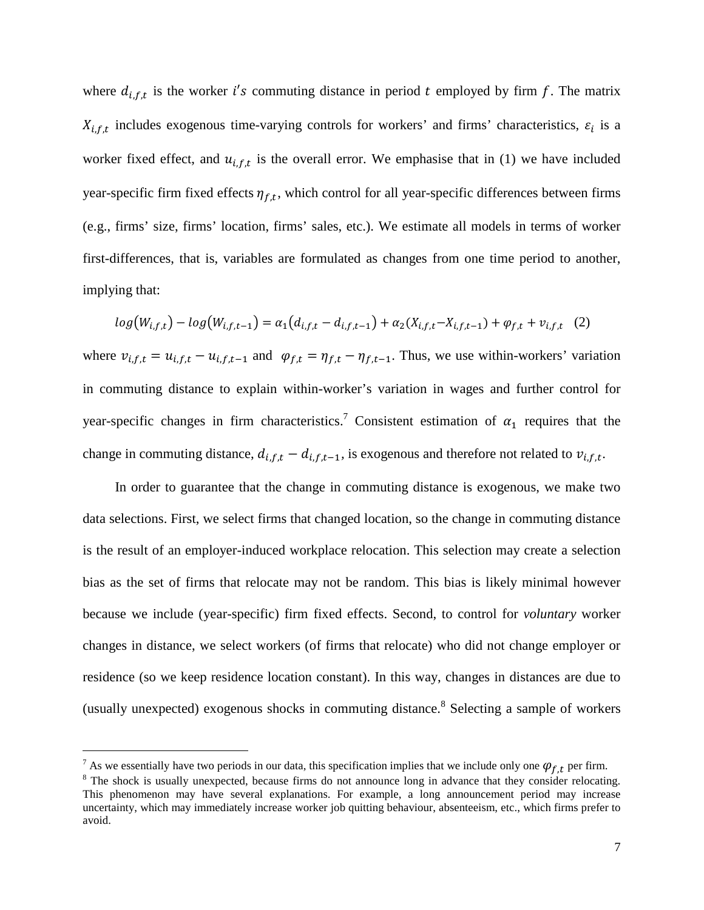where  $d_{i,f,t}$  is the worker i's commuting distance in period t employed by firm f. The matrix  $X_{i,f,t}$  includes exogenous time-varying controls for workers' and firms' characteristics,  $\varepsilon_i$  is a worker fixed effect, and  $u_{i,f,t}$  is the overall error. We emphasise that in (1) we have included year-specific firm fixed effects  $\eta_{f,t}$ , which control for all year-specific differences between firms (e.g., firms' size, firms' location, firms' sales, etc.). We estimate all models in terms of worker first-differences, that is, variables are formulated as changes from one time period to another, implying that:

$$
log(W_{i,f,t}) - log(W_{i,f,t-1}) = \alpha_1(d_{i,f,t} - d_{i,f,t-1}) + \alpha_2(X_{i,f,t} - X_{i,f,t-1}) + \varphi_{f,t} + v_{i,f,t} \quad (2)
$$

where  $v_{i,f,t} = u_{i,f,t} - u_{i,f,t-1}$  and  $\varphi_{f,t} = \eta_{f,t} - \eta_{f,t-1}$ . Thus, we use within-workers' variation in commuting distance to explain within-worker's variation in wages and further control for year-specific changes in firm characteristics.<sup>7</sup> Consistent estimation of  $\alpha_1$  requires that the change in commuting distance,  $d_{i,f,t} - d_{i,f,t-1}$ , is exogenous and therefore not related to  $v_{i,f,t}$ .

In order to guarantee that the change in commuting distance is exogenous, we make two data selections. First, we select firms that changed location, so the change in commuting distance is the result of an employer-induced workplace relocation. This selection may create a selection bias as the set of firms that relocate may not be random. This bias is likely minimal however because we include (year-specific) firm fixed effects. Second, to control for *voluntary* worker changes in distance, we select workers (of firms that relocate) who did not change employer or residence (so we keep residence location constant). In this way, changes in distances are due to (usually unexpected) exogenous shocks in commuting distance.<sup>8</sup> Selecting a sample of workers

-

<sup>&</sup>lt;sup>7</sup> As we essentially have two periods in our data, this specification implies that we include only one  $\varphi_{f,t}$  per firm.

<sup>&</sup>lt;sup>8</sup> The shock is usually unexpected, because firms do not announce long in advance that they consider relocating. This phenomenon may have several explanations. For example, a long announcement period may increase uncertainty, which may immediately increase worker job quitting behaviour, absenteeism, etc., which firms prefer to avoid.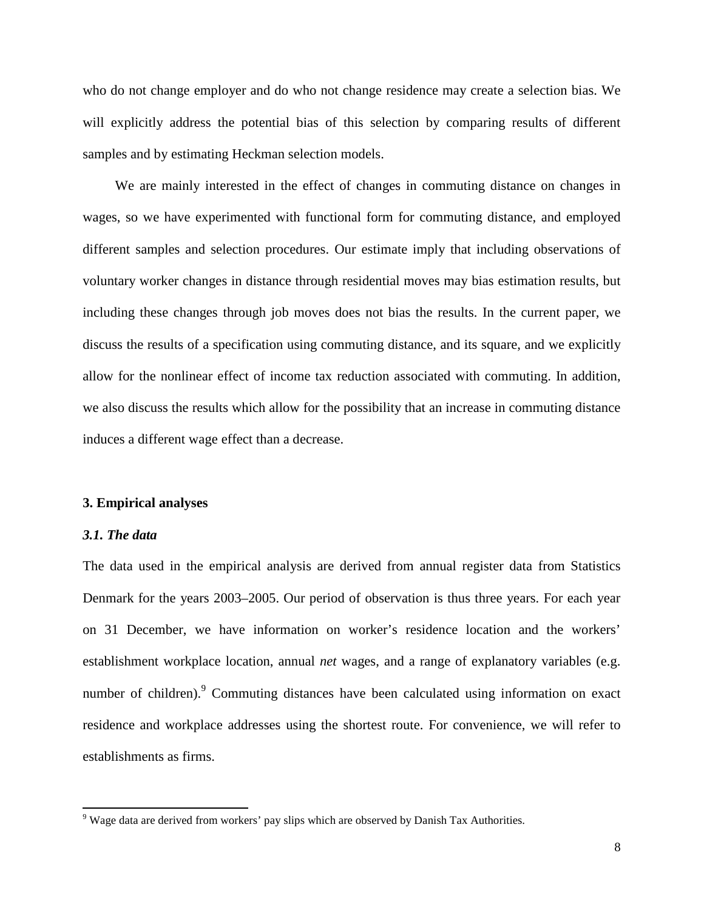who do not change employer and do who not change residence may create a selection bias. We will explicitly address the potential bias of this selection by comparing results of different samples and by estimating Heckman selection models.

We are mainly interested in the effect of changes in commuting distance on changes in wages, so we have experimented with functional form for commuting distance, and employed different samples and selection procedures. Our estimate imply that including observations of voluntary worker changes in distance through residential moves may bias estimation results, but including these changes through job moves does not bias the results. In the current paper, we discuss the results of a specification using commuting distance, and its square, and we explicitly allow for the nonlinear effect of income tax reduction associated with commuting. In addition, we also discuss the results which allow for the possibility that an increase in commuting distance induces a different wage effect than a decrease.

## **3. Empirical analyses**

#### *3.1. The data*

<u>.</u>

The data used in the empirical analysis are derived from annual register data from Statistics Denmark for the years 2003–2005. Our period of observation is thus three years. For each year on 31 December, we have information on worker's residence location and the workers' establishment workplace location, annual *net* wages, and a range of explanatory variables (e.g. number of children).<sup>9</sup> Commuting distances have been calculated using information on exact residence and workplace addresses using the shortest route. For convenience, we will refer to establishments as firms.

<sup>&</sup>lt;sup>9</sup> Wage data are derived from workers' pay slips which are observed by Danish Tax Authorities.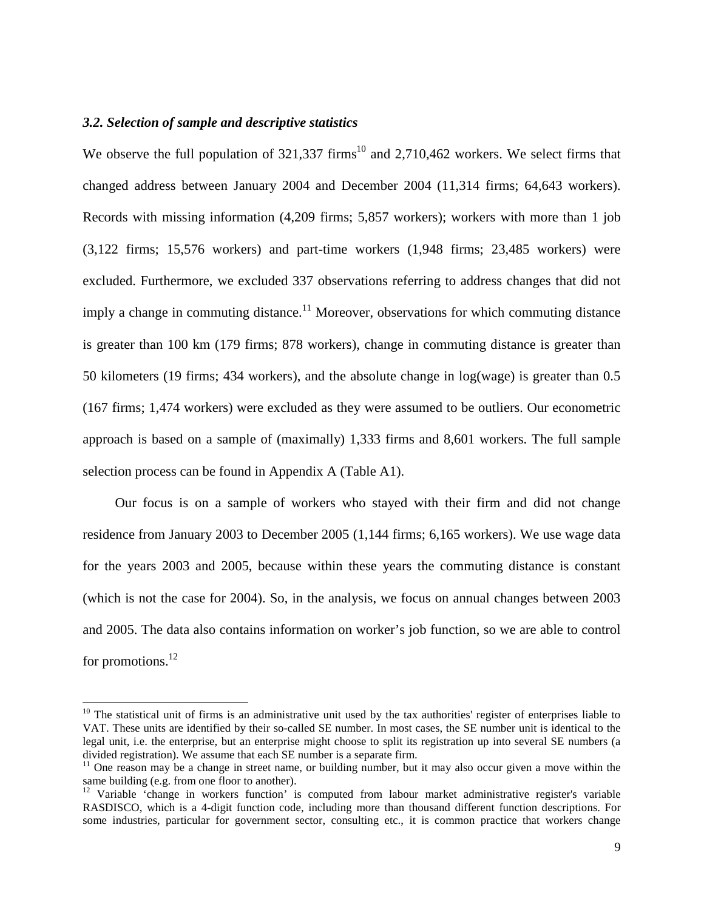#### *3.2. Selection of sample and descriptive statistics*

-

We observe the full population of  $321,337$  firms<sup>10</sup> and  $2,710,462$  workers. We select firms that changed address between January 2004 and December 2004 (11,314 firms; 64,643 workers). Records with missing information (4,209 firms; 5,857 workers); workers with more than 1 job (3,122 firms; 15,576 workers) and part-time workers (1,948 firms; 23,485 workers) were excluded. Furthermore, we excluded 337 observations referring to address changes that did not imply a change in commuting distance.<sup>11</sup> Moreover, observations for which commuting distance is greater than 100 km (179 firms; 878 workers), change in commuting distance is greater than 50 kilometers (19 firms; 434 workers), and the absolute change in log(wage) is greater than 0.5 (167 firms; 1,474 workers) were excluded as they were assumed to be outliers. Our econometric approach is based on a sample of (maximally) 1,333 firms and 8,601 workers. The full sample selection process can be found in Appendix A (Table A1).

Our focus is on a sample of workers who stayed with their firm and did not change residence from January 2003 to December 2005 (1,144 firms; 6,165 workers). We use wage data for the years 2003 and 2005, because within these years the commuting distance is constant (which is not the case for 2004). So, in the analysis, we focus on annual changes between 2003 and 2005. The data also contains information on worker's job function, so we are able to control for promotions.<sup>12</sup>

 $10$  The statistical unit of firms is an administrative unit used by the tax authorities' register of enterprises liable to VAT. These units are identified by their so-called SE number. In most cases, the SE number unit is identical to the legal unit, i.e. the enterprise, but an enterprise might choose to split its registration up into several SE numbers (a divided registration). We assume that each SE number is a separate firm.

 $11$  One reason may be a change in street name, or building number, but it may also occur given a move within the same building (e.g. from one floor to another).

<sup>&</sup>lt;sup>12</sup> Variable 'change in workers function' is computed from labour market administrative register's variable RASDISCO, which is a 4-digit function code, including more than thousand different function descriptions. For some industries, particular for government sector, consulting etc., it is common practice that workers change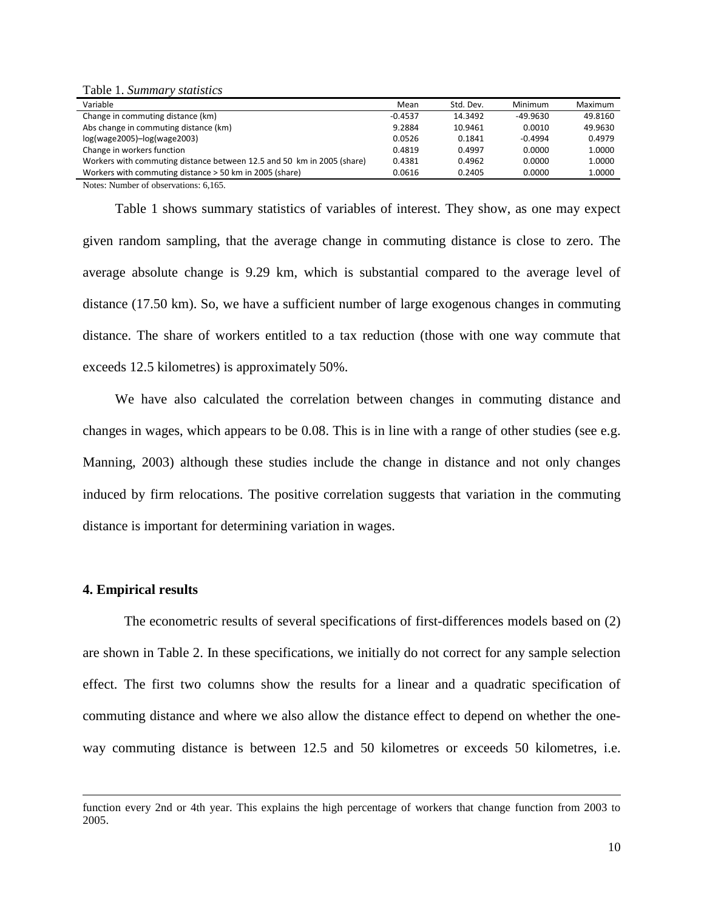Table 1. *Summary statistics* 

| Variable                                                               | Mean      | Std. Dev. | Minimum   | Maximum |
|------------------------------------------------------------------------|-----------|-----------|-----------|---------|
| Change in commuting distance (km)                                      | $-0.4537$ | 14.3492   | -49.9630  | 49.8160 |
| Abs change in commuting distance (km)                                  | 9.2884    | 10.9461   | 0.0010    | 49.9630 |
| $log(wage2005) - log(wage2003)$                                        | 0.0526    | 0.1841    | $-0.4994$ | 0.4979  |
| Change in workers function                                             | 0.4819    | 0.4997    | 0.0000    | 1.0000  |
| Workers with commuting distance between 12.5 and 50 km in 2005 (share) | 0.4381    | 0.4962    | 0.0000    | 1.0000  |
| Workers with commuting distance > 50 km in 2005 (share)                | 0.0616    | 0.2405    | 0.0000    | 1.0000  |
| $\mathbf{v}$ , $\mathbf{v}$ , $\mathbf{v}$                             |           |           |           |         |

Notes: Number of observations: 6,165.

Table 1 shows summary statistics of variables of interest. They show, as one may expect given random sampling, that the average change in commuting distance is close to zero. The average absolute change is 9.29 km, which is substantial compared to the average level of distance (17.50 km). So, we have a sufficient number of large exogenous changes in commuting distance. The share of workers entitled to a tax reduction (those with one way commute that exceeds 12.5 kilometres) is approximately 50%.

We have also calculated the correlation between changes in commuting distance and changes in wages, which appears to be 0.08. This is in line with a range of other studies (see e.g. Manning, 2003) although these studies include the change in distance and not only changes induced by firm relocations. The positive correlation suggests that variation in the commuting distance is important for determining variation in wages.

#### **4. Empirical results**

-

The econometric results of several specifications of first-differences models based on (2) are shown in Table 2. In these specifications, we initially do not correct for any sample selection effect. The first two columns show the results for a linear and a quadratic specification of commuting distance and where we also allow the distance effect to depend on whether the oneway commuting distance is between 12.5 and 50 kilometres or exceeds 50 kilometres, i.e.

function every 2nd or 4th year. This explains the high percentage of workers that change function from 2003 to 2005.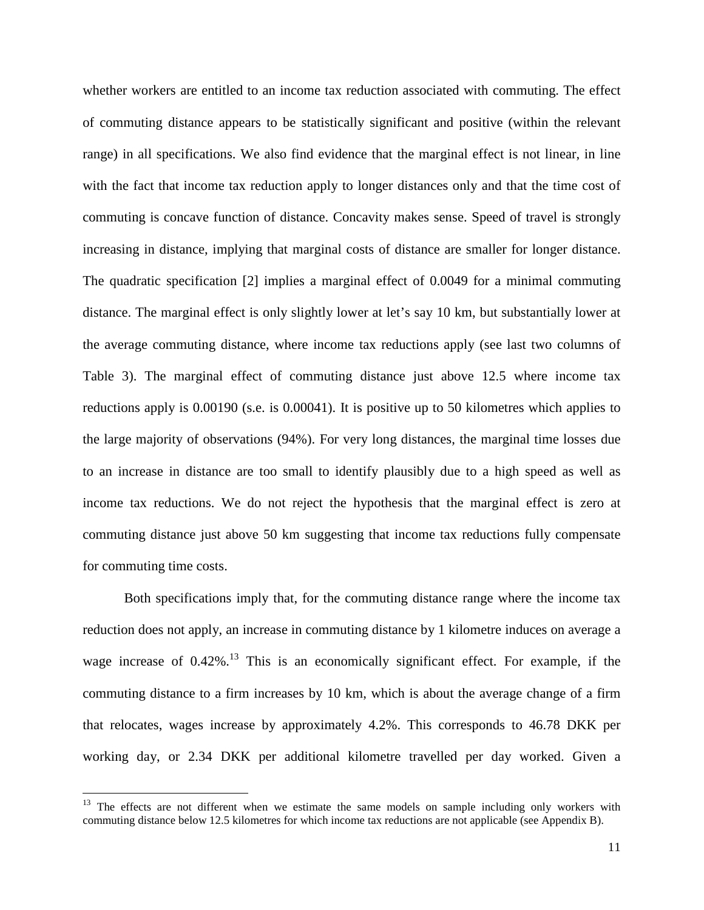whether workers are entitled to an income tax reduction associated with commuting. The effect of commuting distance appears to be statistically significant and positive (within the relevant range) in all specifications. We also find evidence that the marginal effect is not linear, in line with the fact that income tax reduction apply to longer distances only and that the time cost of commuting is concave function of distance. Concavity makes sense. Speed of travel is strongly increasing in distance, implying that marginal costs of distance are smaller for longer distance. The quadratic specification [2] implies a marginal effect of 0.0049 for a minimal commuting distance. The marginal effect is only slightly lower at let's say 10 km, but substantially lower at the average commuting distance, where income tax reductions apply (see last two columns of Table 3). The marginal effect of commuting distance just above 12.5 where income tax reductions apply is 0.00190 (s.e. is 0.00041). It is positive up to 50 kilometres which applies to the large majority of observations (94%). For very long distances, the marginal time losses due to an increase in distance are too small to identify plausibly due to a high speed as well as income tax reductions. We do not reject the hypothesis that the marginal effect is zero at commuting distance just above 50 km suggesting that income tax reductions fully compensate for commuting time costs.

Both specifications imply that, for the commuting distance range where the income tax reduction does not apply, an increase in commuting distance by 1 kilometre induces on average a wage increase of  $0.42\%$ <sup>13</sup>. This is an economically significant effect. For example, if the commuting distance to a firm increases by 10 km, which is about the average change of a firm that relocates, wages increase by approximately 4.2%. This corresponds to 46.78 DKK per working day, or 2.34 DKK per additional kilometre travelled per day worked. Given a

<sup>&</sup>lt;sup>13</sup> The effects are not different when we estimate the same models on sample including only workers with commuting distance below 12.5 kilometres for which income tax reductions are not applicable (see Appendix B).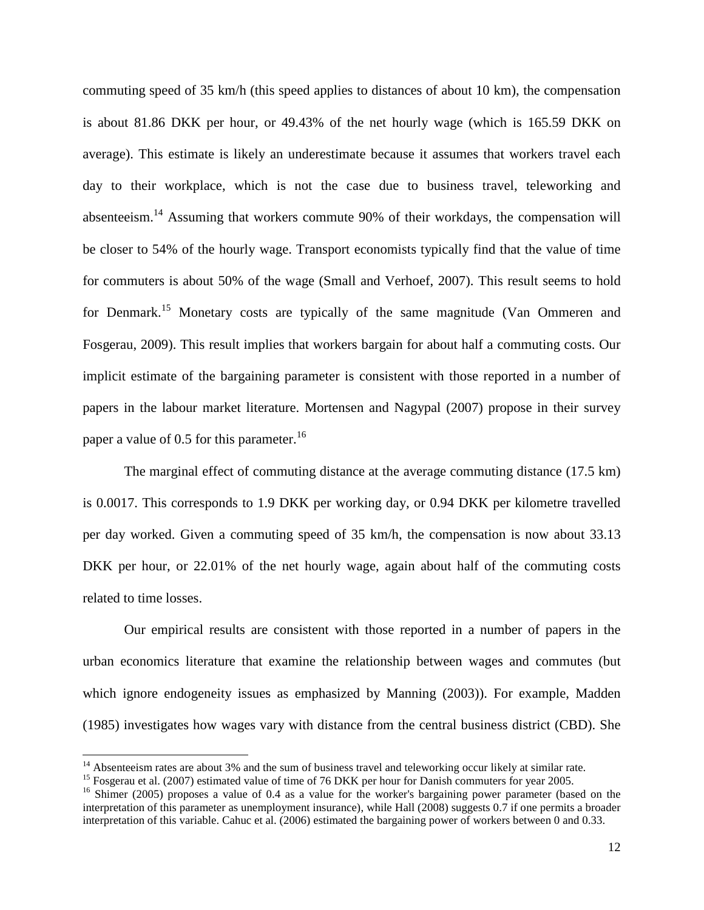commuting speed of 35 km/h (this speed applies to distances of about 10 km), the compensation is about 81.86 DKK per hour, or 49.43% of the net hourly wage (which is 165.59 DKK on average). This estimate is likely an underestimate because it assumes that workers travel each day to their workplace, which is not the case due to business travel, teleworking and absenteeism.<sup>14</sup> Assuming that workers commute 90% of their workdays, the compensation will be closer to 54% of the hourly wage. Transport economists typically find that the value of time for commuters is about 50% of the wage (Small and Verhoef, 2007). This result seems to hold for Denmark.<sup>15</sup> Monetary costs are typically of the same magnitude (Van Ommeren and Fosgerau, 2009). This result implies that workers bargain for about half a commuting costs. Our implicit estimate of the bargaining parameter is consistent with those reported in a number of papers in the labour market literature. Mortensen and Nagypal (2007) propose in their survey paper a value of 0.5 for this parameter.<sup>16</sup>

The marginal effect of commuting distance at the average commuting distance (17.5 km) is 0.0017. This corresponds to 1.9 DKK per working day, or 0.94 DKK per kilometre travelled per day worked. Given a commuting speed of 35 km/h, the compensation is now about 33.13 DKK per hour, or 22.01% of the net hourly wage, again about half of the commuting costs related to time losses.

Our empirical results are consistent with those reported in a number of papers in the urban economics literature that examine the relationship between wages and commutes (but which ignore endogeneity issues as emphasized by Manning (2003)). For example, Madden (1985) investigates how wages vary with distance from the central business district (CBD). She

<sup>&</sup>lt;sup>14</sup> Absenteeism rates are about 3% and the sum of business travel and teleworking occur likely at similar rate.

<sup>&</sup>lt;sup>15</sup> Fosgerau et al. (2007) estimated value of time of 76 DKK per hour for Danish commuters for year 2005.

<sup>&</sup>lt;sup>16</sup> Shimer (2005) proposes a value of 0.4 as a value for the worker's bargaining power parameter (based on the interpretation of this parameter as unemployment insurance), while Hall (2008) suggests 0.7 if one permits a broader interpretation of this variable. Cahuc et al. (2006) estimated the bargaining power of workers between 0 and 0.33.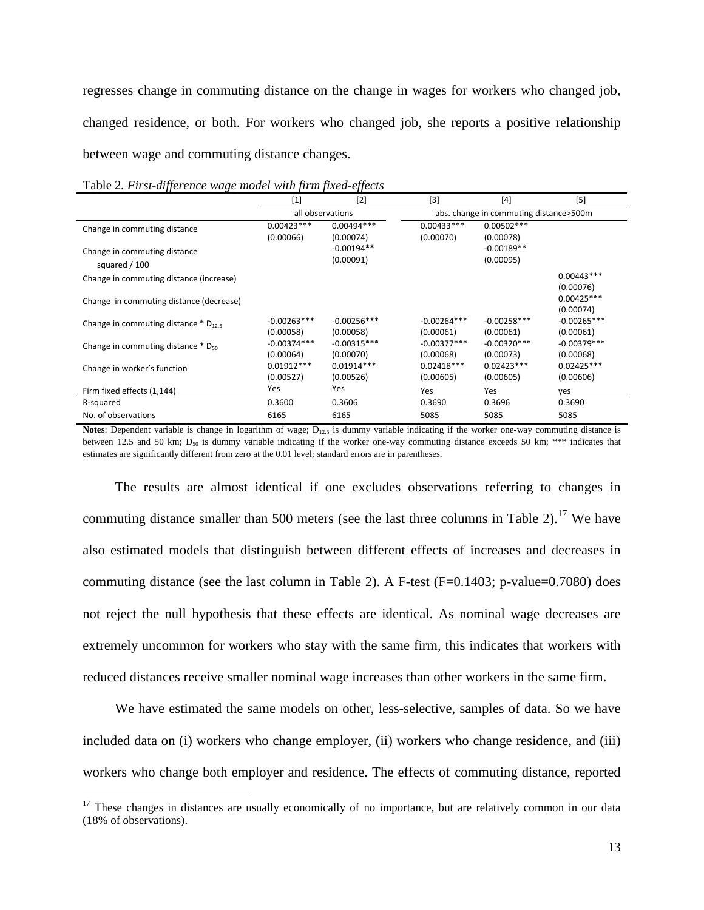regresses change in commuting distance on the change in wages for workers who changed job, changed residence, or both. For workers who changed job, she reports a positive relationship between wage and commuting distance changes.

|                                                    | $[1]$                      | [2]                        | $[3]$                                  | $[4] % \includegraphics[width=0.9\columnwidth]{images/TrDiM1.png} % \caption{\label{TrDiM1} \includegraphics[width=0.9\columnwidth]{images/TrDiM1.png} % \label{TrDiM2.png} %$ | $[5]$                      |  |
|----------------------------------------------------|----------------------------|----------------------------|----------------------------------------|--------------------------------------------------------------------------------------------------------------------------------------------------------------------------------|----------------------------|--|
|                                                    | all observations           |                            | abs. change in commuting distance>500m |                                                                                                                                                                                |                            |  |
| Change in commuting distance                       | $0.00423***$               | $0.00494***$               | $0.00433***$                           | $0.00502***$                                                                                                                                                                   |                            |  |
|                                                    | (0.00066)                  | (0.00074)                  | (0.00070)                              | (0.00078)                                                                                                                                                                      |                            |  |
| Change in commuting distance                       |                            | $-0.00194**$               |                                        | $-0.00189**$                                                                                                                                                                   |                            |  |
| squared / 100                                      |                            | (0.00091)                  |                                        | (0.00095)                                                                                                                                                                      |                            |  |
| Change in commuting distance (increase)            |                            |                            |                                        |                                                                                                                                                                                | $0.00443***$               |  |
|                                                    |                            |                            |                                        |                                                                                                                                                                                | (0.00076)                  |  |
| Change in commuting distance (decrease)            |                            |                            |                                        |                                                                                                                                                                                | $0.00425***$               |  |
|                                                    |                            |                            |                                        |                                                                                                                                                                                | (0.00074)                  |  |
| Change in commuting distance $*$ D <sub>12.5</sub> | $-0.00263***$<br>(0.00058) | $-0.00256***$<br>(0.00058) | $-0.00264***$<br>(0.00061)             | $-0.00258***$<br>(0.00061)                                                                                                                                                     | $-0.00265***$<br>(0.00061) |  |
|                                                    | $-0.00374***$              | $-0.00315***$              | $-0.00377***$                          | $-0.00320***$                                                                                                                                                                  | $-0.00379***$              |  |
| Change in commuting distance $*$ D <sub>50</sub>   | (0.00064)                  | (0.00070)                  | (0.00068)                              | (0.00073)                                                                                                                                                                      | (0.00068)                  |  |
| Change in worker's function                        | $0.01912***$               | $0.01914***$               | $0.02418***$                           | $0.02423***$                                                                                                                                                                   | $0.02425***$               |  |
|                                                    | (0.00527)                  | (0.00526)                  | (0.00605)                              | (0.00605)                                                                                                                                                                      | (0.00606)                  |  |
| Firm fixed effects (1,144)                         | Yes                        | Yes                        | Yes                                    | Yes                                                                                                                                                                            | ves                        |  |
| R-squared                                          | 0.3600                     | 0.3606                     | 0.3690                                 | 0.3696                                                                                                                                                                         | 0.3690                     |  |
| No. of observations                                | 6165                       | 6165                       | 5085                                   | 5085                                                                                                                                                                           | 5085                       |  |

Table 2*. First-difference wage model with firm fixed-effects* 

-

Notes: Dependent variable is change in logarithm of wage; D<sub>12.5</sub> is dummy variable indicating if the worker one-way commuting distance is between 12.5 and 50 km; D<sub>50</sub> is dummy variable indicating if the worker one-way commuting distance exceeds 50 km; \*\*\* indicates that estimates are significantly different from zero at the 0.01 level; standard errors are in parentheses.

The results are almost identical if one excludes observations referring to changes in commuting distance smaller than 500 meters (see the last three columns in Table 2).<sup>17</sup> We have also estimated models that distinguish between different effects of increases and decreases in commuting distance (see the last column in Table 2). A F-test (F=0.1403; p-value=0.7080) does not reject the null hypothesis that these effects are identical. As nominal wage decreases are extremely uncommon for workers who stay with the same firm, this indicates that workers with reduced distances receive smaller nominal wage increases than other workers in the same firm.

We have estimated the same models on other, less-selective, samples of data. So we have included data on (i) workers who change employer, (ii) workers who change residence, and (iii) workers who change both employer and residence. The effects of commuting distance, reported

<sup>&</sup>lt;sup>17</sup> These changes in distances are usually economically of no importance, but are relatively common in our data (18% of observations).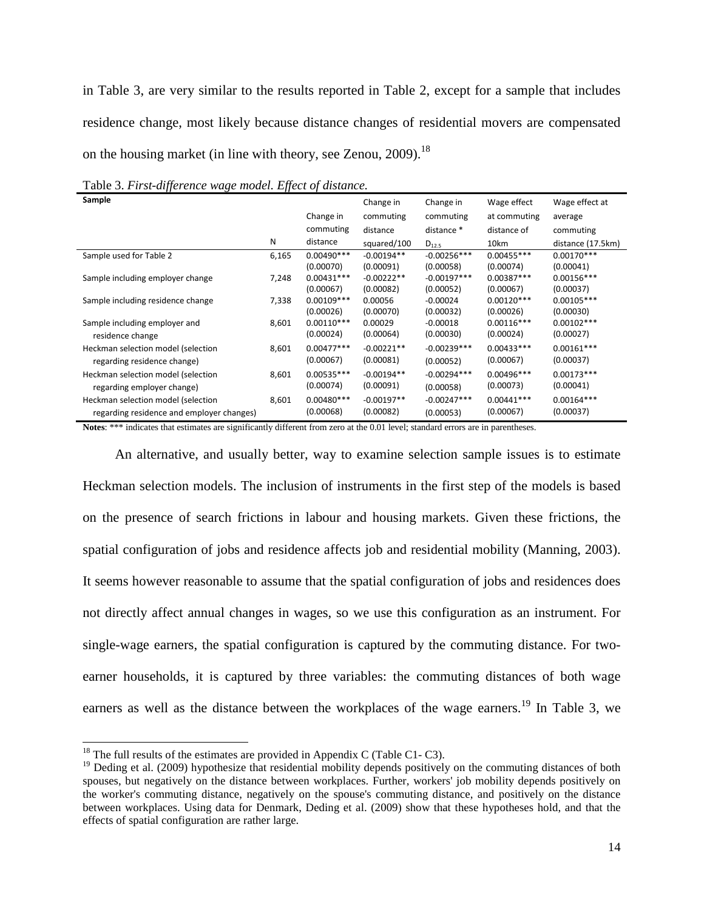in Table 3, are very similar to the results reported in Table 2, except for a sample that includes residence change, most likely because distance changes of residential movers are compensated on the housing market (in line with theory, see Zenou,  $2009$ ).<sup>18</sup>

| Sample                                    |       |              | Change in    | Change in     | Wage effect  | Wage effect at    |
|-------------------------------------------|-------|--------------|--------------|---------------|--------------|-------------------|
|                                           |       | Change in    | commuting    | commuting     | at commuting | average           |
|                                           |       | commuting    | distance     | distance *    | distance of  | commuting         |
|                                           | N     | distance     | squared/100  | $D_{12.5}$    | 10km         | distance (17.5km) |
| Sample used for Table 2                   | 6,165 | $0.00490***$ | $-0.00194**$ | $-0.00256***$ | $0.00455***$ | $0.00170***$      |
|                                           |       | (0.00070)    | (0.00091)    | (0.00058)     | (0.00074)    | (0.00041)         |
| Sample including employer change          | 7,248 | $0.00431***$ | $-0.00222**$ | $-0.00197***$ | $0.00387***$ | $0.00156***$      |
|                                           |       | (0.00067)    | (0.00082)    | (0.00052)     | (0.00067)    | (0.00037)         |
| Sample including residence change         | 7,338 | $0.00109***$ | 0.00056      | $-0.00024$    | $0.00120***$ | $0.00105***$      |
|                                           |       | (0.00026)    | (0.00070)    | (0.00032)     | (0.00026)    | (0.00030)         |
| Sample including employer and             | 8,601 | $0.00110***$ | 0.00029      | $-0.00018$    | $0.00116***$ | $0.00102***$      |
| residence change                          |       | (0.00024)    | (0.00064)    | (0.00030)     | (0.00024)    | (0.00027)         |
| Heckman selection model (selection        | 8,601 | $0.00477***$ | $-0.00221**$ | $-0.00239***$ | $0.00433***$ | $0.00161***$      |
| regarding residence change)               |       | (0.00067)    | (0.00081)    | (0.00052)     | (0.00067)    | (0.00037)         |
| Heckman selection model (selection        | 8,601 | $0.00535***$ | $-0.00194**$ | $-0.00294***$ | $0.00496***$ | $0.00173***$      |
| regarding employer change)                |       | (0.00074)    | (0.00091)    | (0.00058)     | (0.00073)    | (0.00041)         |
| Heckman selection model (selection        | 8,601 | $0.00480***$ | $-0.00197**$ | $-0.00247***$ | $0.00441***$ | $0.00164***$      |
| regarding residence and employer changes) |       | (0.00068)    | (0.00082)    | (0.00053)     | (0.00067)    | (0.00037)         |

Table 3. *First-difference wage model. Effect of distance.* 

Notes: \*\*\* indicates that estimates are significantly different from zero at the 0.01 level; standard errors are in parentheses.

An alternative, and usually better, way to examine selection sample issues is to estimate Heckman selection models. The inclusion of instruments in the first step of the models is based on the presence of search frictions in labour and housing markets. Given these frictions, the spatial configuration of jobs and residence affects job and residential mobility (Manning, 2003). It seems however reasonable to assume that the spatial configuration of jobs and residences does not directly affect annual changes in wages, so we use this configuration as an instrument. For single-wage earners, the spatial configuration is captured by the commuting distance. For twoearner households, it is captured by three variables: the commuting distances of both wage earners as well as the distance between the workplaces of the wage earners.<sup>19</sup> In Table 3, we

<sup>&</sup>lt;sup>18</sup> The full results of the estimates are provided in Appendix C (Table C1-C3).

<sup>&</sup>lt;sup>19</sup> Deding et al. (2009) hypothesize that residential mobility depends positively on the commuting distances of both spouses, but negatively on the distance between workplaces. Further, workers' job mobility depends positively on the worker's commuting distance, negatively on the spouse's commuting distance, and positively on the distance between workplaces. Using data for Denmark, Deding et al. (2009) show that these hypotheses hold, and that the effects of spatial configuration are rather large.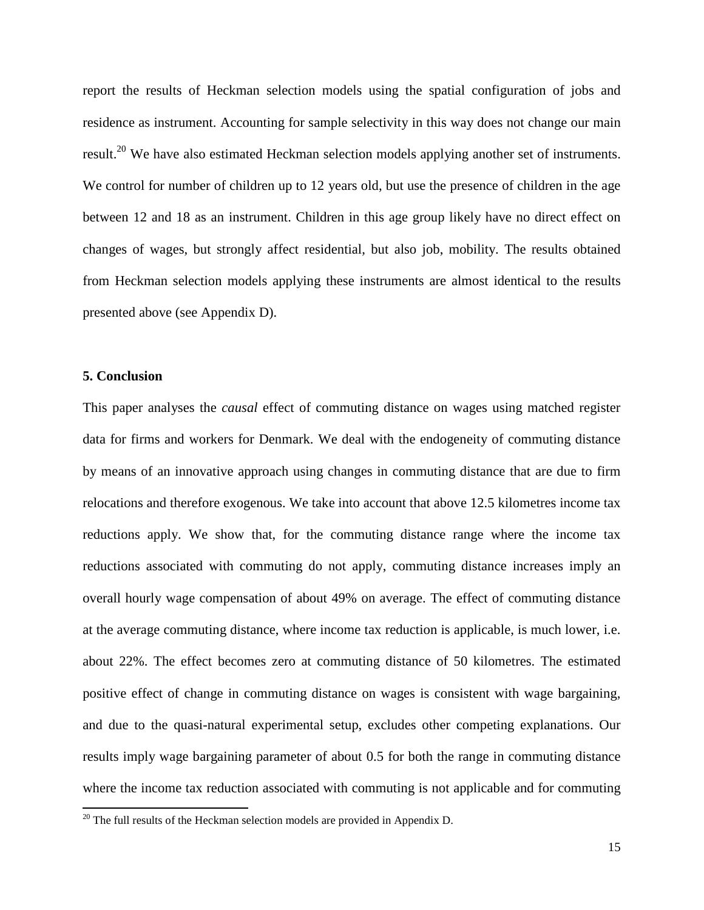report the results of Heckman selection models using the spatial configuration of jobs and residence as instrument. Accounting for sample selectivity in this way does not change our main result.<sup>20</sup> We have also estimated Heckman selection models applying another set of instruments. We control for number of children up to 12 years old, but use the presence of children in the age between 12 and 18 as an instrument. Children in this age group likely have no direct effect on changes of wages, but strongly affect residential, but also job, mobility. The results obtained from Heckman selection models applying these instruments are almost identical to the results presented above (see Appendix D).

### **5. Conclusion**

<u>.</u>

This paper analyses the *causal* effect of commuting distance on wages using matched register data for firms and workers for Denmark. We deal with the endogeneity of commuting distance by means of an innovative approach using changes in commuting distance that are due to firm relocations and therefore exogenous. We take into account that above 12.5 kilometres income tax reductions apply. We show that, for the commuting distance range where the income tax reductions associated with commuting do not apply, commuting distance increases imply an overall hourly wage compensation of about 49% on average. The effect of commuting distance at the average commuting distance, where income tax reduction is applicable, is much lower, i.e. about 22%. The effect becomes zero at commuting distance of 50 kilometres. The estimated positive effect of change in commuting distance on wages is consistent with wage bargaining, and due to the quasi-natural experimental setup, excludes other competing explanations. Our results imply wage bargaining parameter of about 0.5 for both the range in commuting distance where the income tax reduction associated with commuting is not applicable and for commuting

 $20$  The full results of the Heckman selection models are provided in Appendix D.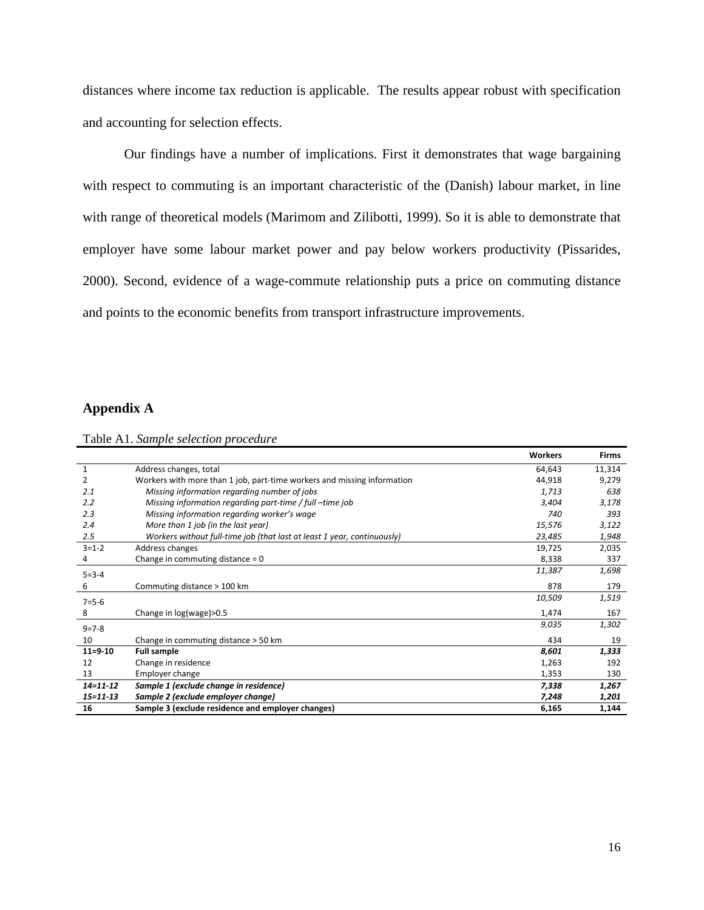distances where income tax reduction is applicable. The results appear robust with specification and accounting for selection effects.

Our findings have a number of implications. First it demonstrates that wage bargaining with respect to commuting is an important characteristic of the (Danish) labour market, in line with range of theoretical models (Marimom and Zilibotti, 1999). So it is able to demonstrate that employer have some labour market power and pay below workers productivity (Pissarides, 2000). Second, evidence of a wage-commute relationship puts a price on commuting distance and points to the economic benefits from transport infrastructure improvements.

## **Appendix A**

|                |                                                                         | <b>Workers</b> | Firms  |
|----------------|-------------------------------------------------------------------------|----------------|--------|
| $\mathbf{1}$   | Address changes, total                                                  | 64,643         | 11,314 |
| 2              | Workers with more than 1 job, part-time workers and missing information | 44,918         | 9,279  |
| 2.1            | Missing information regarding number of jobs                            | 1,713          | 638    |
| 2.2            | Missing information regarding part-time / full -time job                | 3,404          | 3,178  |
| 2.3            | Missing information regarding worker's wage                             | 740            | 393    |
| 2.4            | More than 1 job (in the last year)                                      | 15,576         | 3,122  |
| 2.5            | Workers without full-time job (that last at least 1 year, continuously) | 23,485         | 1,948  |
| $3 = 1 - 2$    | Address changes                                                         | 19,725         | 2,035  |
| 4              | Change in commuting distance = $0$                                      | 8,338          | 337    |
| $5 = 3 - 4$    |                                                                         | 11,387         | 1,698  |
| 6              | Commuting distance > 100 km                                             | 878            | 179    |
| $7 = 5 - 6$    |                                                                         | 10,509         | 1,519  |
| 8              | Change in log(wage)>0.5                                                 | 1,474          | 167    |
| $9 = 7 - 8$    |                                                                         | 9,035          | 1,302  |
| 10             | Change in commuting distance > 50 km                                    | 434            | 19     |
| $11 = 9 - 10$  | <b>Full sample</b>                                                      | 8,601          | 1,333  |
| 12             | Change in residence                                                     | 1,263          | 192    |
| 13             | Employer change                                                         | 1,353          | 130    |
| $14 - 11 - 12$ | Sample 1 (exclude change in residence)                                  | 7,338          | 1,267  |
| $15 = 11 - 13$ | Sample 2 (exclude employer change)                                      | 7,248          | 1,201  |
| 16             | Sample 3 (exclude residence and employer changes)                       | 6,165          | 1,144  |

|  |  |  | Table A1. Sample selection procedure |
|--|--|--|--------------------------------------|
|--|--|--|--------------------------------------|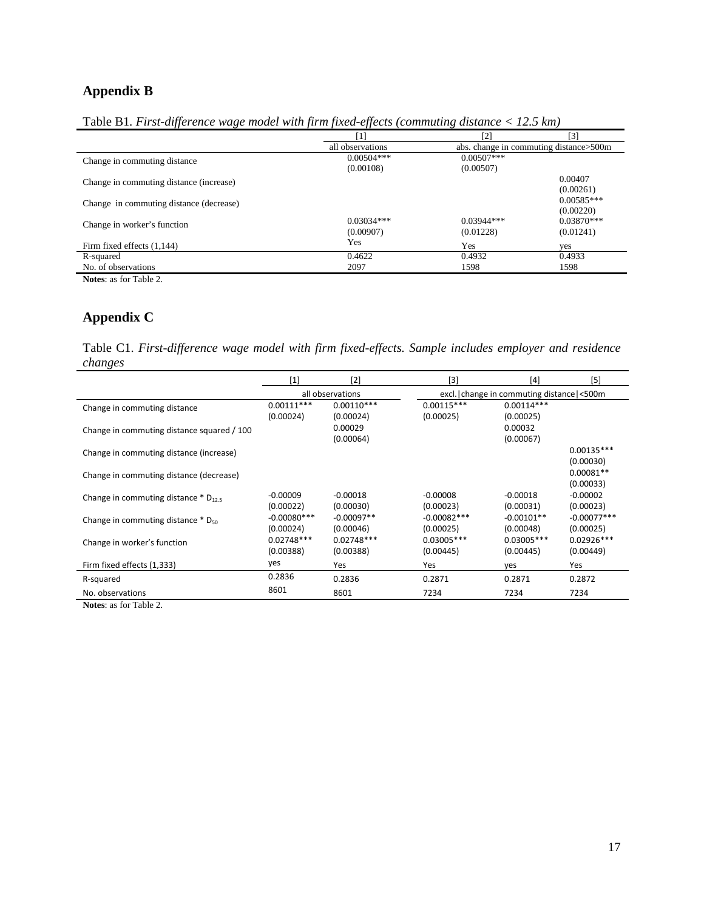# **Appendix B**

|  |  | Table B1. First-difference wage model with firm fixed-effects (commuting distance $<$ 12.5 km) |  |
|--|--|------------------------------------------------------------------------------------------------|--|
|  |  |                                                                                                |  |

|                                         | [1]              | $[2]$        | [3]                                      |
|-----------------------------------------|------------------|--------------|------------------------------------------|
|                                         | all observations |              | abs. change in commuting distance > 500m |
| Change in commuting distance            | $0.00504***$     | $0.00507***$ |                                          |
|                                         | (0.00108)        | (0.00507)    |                                          |
| Change in commuting distance (increase) |                  |              | 0.00407                                  |
|                                         |                  |              | (0.00261)                                |
| Change in commuting distance (decrease) |                  |              | $0.00585***$                             |
|                                         |                  |              | (0.00220)                                |
| Change in worker's function             | $0.03034***$     | $0.03944***$ | $0.03870***$                             |
|                                         | (0.00907)        | (0.01228)    | (0.01241)                                |
| Firm fixed effects (1,144)              | Yes              | Yes          | yes                                      |
| R-squared                               | 0.4622           | 0.4932       | 0.4933                                   |
| No. of observations                     | 2097             | 1598         | 1598                                     |
| <b>Notes:</b> as for Table 2.           |                  |              |                                          |

# **Appendix C**

Table C1. *First-difference wage model with firm fixed-effects. Sample includes employer and residence changes* 

|                                                    | [1]              | [2]          | $[3]$         | [4]                                        | [5]           |  |
|----------------------------------------------------|------------------|--------------|---------------|--------------------------------------------|---------------|--|
|                                                    | all observations |              |               | excl. change in commuting distance   <500m |               |  |
| Change in commuting distance                       | $0.00111***$     | $0.00110***$ | $0.00115***$  | $0.00114***$                               |               |  |
|                                                    | (0.00024)        | (0.00024)    | (0.00025)     | (0.00025)                                  |               |  |
| Change in commuting distance squared / 100         |                  | 0.00029      |               | 0.00032                                    |               |  |
|                                                    |                  | (0.00064)    |               | (0.00067)                                  |               |  |
| Change in commuting distance (increase)            |                  |              |               |                                            | $0.00135***$  |  |
|                                                    |                  |              |               |                                            | (0.00030)     |  |
| Change in commuting distance (decrease)            |                  |              |               |                                            | $0.00081**$   |  |
|                                                    |                  |              |               |                                            | (0.00033)     |  |
| Change in commuting distance $*$ D <sub>12.5</sub> | $-0.00009$       | $-0.00018$   | $-0.00008$    | $-0.00018$                                 | $-0.00002$    |  |
|                                                    | (0.00022)        | (0.00030)    | (0.00023)     | (0.00031)                                  | (0.00023)     |  |
| Change in commuting distance $*$ D <sub>50</sub>   | $-0.00080***$    | $-0.00097**$ | $-0.00082***$ | $-0.00101**$                               | $-0.00077***$ |  |
|                                                    | (0.00024)        | (0.00046)    | (0.00025)     | (0.00048)                                  | (0.00025)     |  |
| Change in worker's function                        | $0.02748***$     | $0.02748***$ | $0.03005***$  | $0.03005***$                               | $0.02926***$  |  |
|                                                    | (0.00388)        | (0.00388)    | (0.00445)     | (0.00445)                                  | (0.00449)     |  |
| Firm fixed effects (1,333)                         | yes              | Yes          | Yes           | yes                                        | Yes           |  |
| R-squared                                          | 0.2836           | 0.2836       | 0.2871        | 0.2871                                     | 0.2872        |  |
| No. observations                                   | 8601             | 8601         | 7234          | 7234                                       | 7234          |  |

**Notes**: as for Table 2.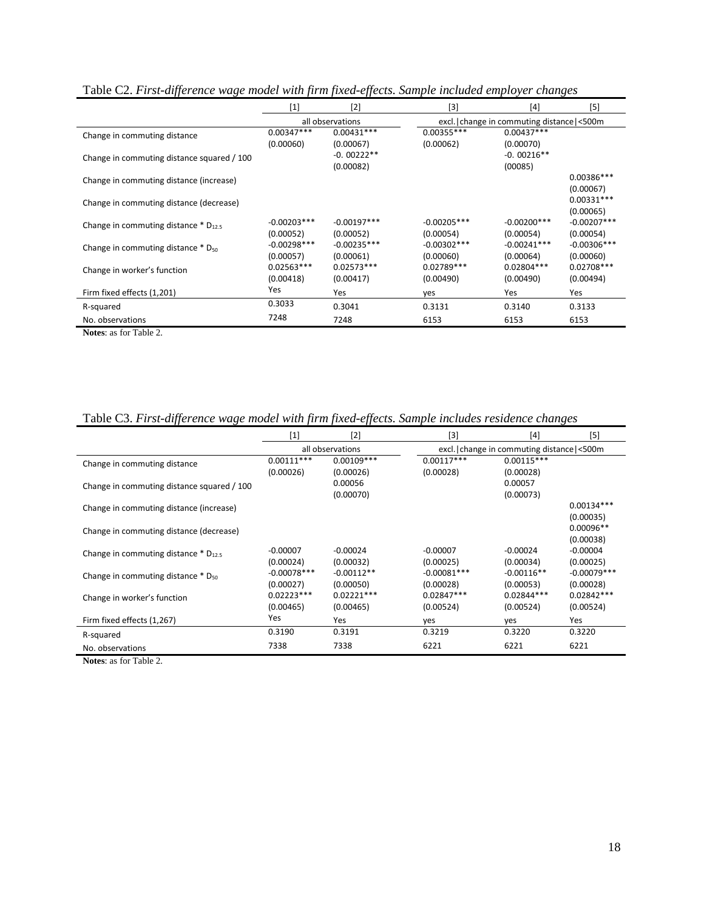| vv                                                 |                           | vv                        |                                          |                            |                           |
|----------------------------------------------------|---------------------------|---------------------------|------------------------------------------|----------------------------|---------------------------|
|                                                    | $[1]$                     | $[2]$                     | $[3]$                                    | $[4]$                      | [5]                       |
|                                                    | all observations          |                           | excl. change in commuting distance <500m |                            |                           |
| Change in commuting distance                       | $0.00347***$              | $0.00431***$              | $0.00355***$                             | $0.00437***$               |                           |
|                                                    | (0.00060)                 | (0.00067)                 | (0.00062)                                | (0.00070)                  |                           |
| Change in commuting distance squared / 100         |                           | $-0.00222**$              |                                          | $-0.00216**$               |                           |
|                                                    |                           | (0.00082)                 |                                          | (00085)                    |                           |
| Change in commuting distance (increase)            |                           |                           |                                          |                            | $0.00386***$              |
|                                                    |                           |                           |                                          |                            | (0.00067)                 |
| Change in commuting distance (decrease)            |                           |                           |                                          |                            | $0.00331***$              |
|                                                    |                           |                           |                                          |                            | (0.00065)                 |
| Change in commuting distance $*$ D <sub>12.5</sub> | $-0.00203***$             | $-0.00197***$             | $-0.00205***$                            | $-0.00200***$              | $-0.00207***$             |
|                                                    | (0.00052)                 | (0.00052)                 | (0.00054)                                | (0.00054)                  | (0.00054)                 |
| Change in commuting distance * D <sub>50</sub>     | $-0.00298***$             | $-0.00235***$             | $-0.00302***$                            | $-0.00241***$<br>(0.00064) | $-0.00306***$             |
|                                                    | (0.00057)<br>$0.02563***$ | (0.00061)<br>$0.02573***$ | (0.00060)<br>$0.02789***$                | $0.02804***$               | (0.00060)<br>$0.02708***$ |
| Change in worker's function                        | (0.00418)                 | (0.00417)                 | (0.00490)                                | (0.00490)                  | (0.00494)                 |
|                                                    | Yes                       |                           |                                          |                            |                           |
| Firm fixed effects (1,201)                         |                           | Yes                       | yes                                      | Yes                        | Yes                       |
| R-squared                                          | 0.3033                    | 0.3041                    | 0.3131                                   | 0.3140                     | 0.3133                    |
| No. observations                                   | 7248                      | 7248                      | 6153                                     | 6153                       | 6153                      |
| $\sim$ m i i $\sim$                                |                           |                           |                                          |                            |                           |

Table C2. *First-difference wage model with firm fixed-effects. Sample included employer changes* 

**Notes**: as for Table 2.

Table C3. *First-difference wage model with firm fixed-effects. Sample includes residence changes* 

|                                                    | $[1]$         | $[2]$            | [3]           | [4]                                                  | $[5]$         |
|----------------------------------------------------|---------------|------------------|---------------|------------------------------------------------------|---------------|
|                                                    |               | all observations |               | excl. change in commuting distance <a>[&lt;500</a> m |               |
| Change in commuting distance                       | $0.00111***$  | $0.00109***$     | $0.00117***$  | $0.00115***$                                         |               |
|                                                    | (0.00026)     | (0.00026)        | (0.00028)     | (0.00028)                                            |               |
| Change in commuting distance squared / 100         |               | 0.00056          |               | 0.00057                                              |               |
|                                                    |               | (0.00070)        |               | (0.00073)                                            |               |
| Change in commuting distance (increase)            |               |                  |               |                                                      | $0.00134***$  |
|                                                    |               |                  |               |                                                      | (0.00035)     |
| Change in commuting distance (decrease)            |               |                  |               |                                                      | $0.00096**$   |
|                                                    |               |                  |               |                                                      | (0.00038)     |
| Change in commuting distance $*$ D <sub>12.5</sub> | $-0.00007$    | $-0.00024$       | $-0.00007$    | $-0.00024$                                           | $-0.00004$    |
|                                                    | (0.00024)     | (0.00032)        | (0.00025)     | (0.00034)                                            | (0.00025)     |
| Change in commuting distance $*$ D <sub>50</sub>   | $-0.00078***$ | $-0.00112**$     | $-0.00081***$ | $-0.00116**$                                         | $-0.00079***$ |
|                                                    | (0.00027)     | (0.00050)        | (0.00028)     | (0.00053)                                            | (0.00028)     |
| Change in worker's function                        | $0.02223***$  | $0.02221***$     | $0.02847***$  | $0.02844***$                                         | $0.02842***$  |
|                                                    | (0.00465)     | (0.00465)        | (0.00524)     | (0.00524)                                            | (0.00524)     |
| Firm fixed effects (1,267)                         | Yes           | Yes              | yes           | yes                                                  | Yes           |
| R-squared                                          | 0.3190        | 0.3191           | 0.3219        | 0.3220                                               | 0.3220        |
| No. observations                                   | 7338          | 7338             | 6221          | 6221                                                 | 6221          |

**Notes**: as for Table 2.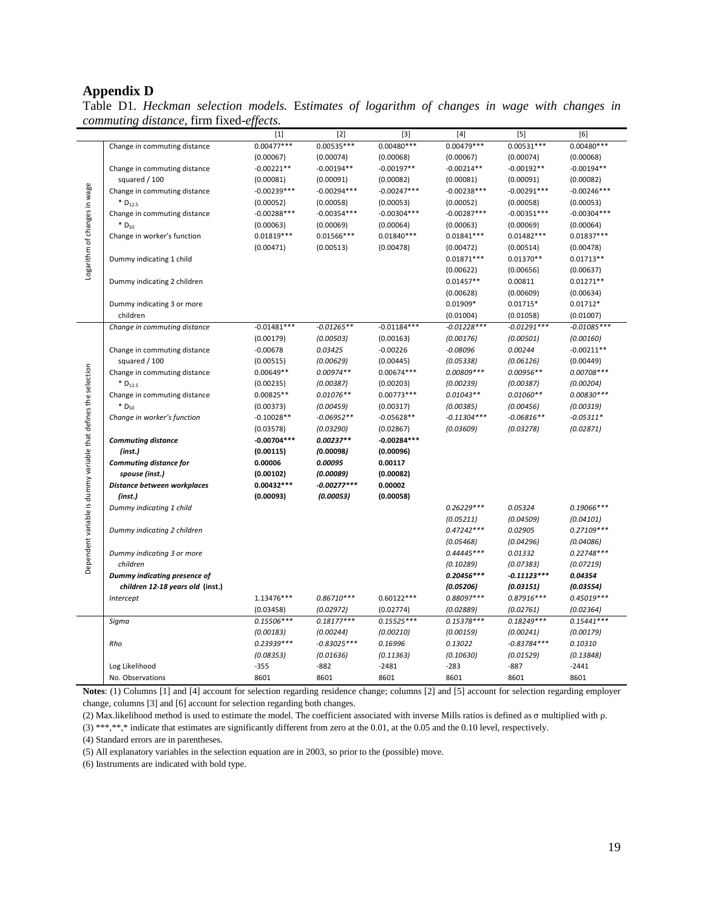## **Appendix D**

Table D1. *Heckman selection models.* E*stimates of logarithm of changes in wage with changes in commuting distance,* firm fixed-*effects.*

|                                                                 |                                               | $[1]$                    | $[2]$                      | $[3]$                | $[4]$         | $[5]$         | [6]           |
|-----------------------------------------------------------------|-----------------------------------------------|--------------------------|----------------------------|----------------------|---------------|---------------|---------------|
|                                                                 | Change in commuting distance                  | $0.00477***$             | $0.00535***$               | $0.00480***$         | $0.00479***$  | $0.00531***$  | $0.00480***$  |
|                                                                 |                                               | (0.00067)                | (0.00074)                  | (0.00068)            | (0.00067)     | (0.00074)     | (0.00068)     |
|                                                                 | Change in commuting distance                  | $-0.00221**$             | $-0.00194**$               | $-0.00197**$         | $-0.00214**$  | $-0.00192**$  | $-0.00194**$  |
|                                                                 | squared / 100                                 | (0.00081)                | (0.00091)                  | (0.00082)            | (0.00081)     | (0.00091)     | (0.00082)     |
|                                                                 | Change in commuting distance                  | $-0.00239***$            | $-0.00294***$              | $-0.00247***$        | $-0.00238***$ | $-0.00291***$ | $-0.00246***$ |
|                                                                 | $*D_{12.5}$                                   | (0.00052)                | (0.00058)                  | (0.00053)            | (0.00052)     | (0.00058)     | (0.00053)     |
|                                                                 | Change in commuting distance                  | $-0.00288***$            | $-0.00354***$              | $-0.00304***$        | $-0.00287***$ | $-0.00351***$ | $-0.00304***$ |
|                                                                 | * D <sub>50</sub>                             | (0.00063)                | (0.00069)                  | (0.00064)            | (0.00063)     | (0.00069)     | (0.00064)     |
|                                                                 | Change in worker's function                   | $0.01819***$             | $0.01566***$               | $0.01840***$         | $0.01841***$  | $0.01482***$  | $0.01837***$  |
|                                                                 |                                               | (0.00471)                | (0.00513)                  | (0.00478)            | (0.00472)     | (0.00514)     | (0.00478)     |
|                                                                 | Dummy indicating 1 child                      |                          |                            |                      | $0.01871***$  | $0.01370**$   | $0.01713**$   |
| Logarithm of changes in wage                                    |                                               |                          |                            |                      | (0.00622)     | (0.00656)     | (0.00637)     |
|                                                                 | Dummy indicating 2 children                   |                          |                            |                      | $0.01457**$   | 0.00811       | $0.01271**$   |
|                                                                 |                                               |                          |                            |                      | (0.00628)     | (0.00609)     | (0.00634)     |
|                                                                 | Dummy indicating 3 or more                    |                          |                            |                      | $0.01909*$    | $0.01715*$    | $0.01712*$    |
|                                                                 | children                                      |                          |                            |                      | (0.01004)     | (0.01058)     | (0.01007)     |
|                                                                 | Change in commuting distance                  | $-0.01481***$            | $-0.01265**$               | $-0.01184***$        | $-0.01228***$ | $-0.01291***$ | $-0.01085***$ |
|                                                                 |                                               | (0.00179)                | (0.00503)                  | (0.00163)            | (0.00176)     | (0.00501)     | (0.00160)     |
|                                                                 | Change in commuting distance                  | $-0.00678$               | 0.03425                    | $-0.00226$           | $-0.08096$    | 0.00244       | $-0.00211**$  |
|                                                                 | squared / 100                                 | (0.00515)                | (0.00629)                  | (0.00445)            | (0.05338)     | (0.06126)     | (0.00449)     |
|                                                                 | Change in commuting distance                  | $0.00649**$              | $0.00974**$                | $0.00674***$         | 0.00809 ***   | $0.00956**$   | $0.00708***$  |
|                                                                 | $*$ D <sub>12.5</sub>                         | (0.00235)                | (0.00387)                  | (0.00203)            | (0.00239)     | (0.00387)     | (0.00204)     |
|                                                                 | Change in commuting distance                  | 0.00825**                | $0.01076**$                | $0.00773***$         | $0.01043**$   | $0.01060**$   | $0.00830***$  |
|                                                                 | $*D_{50}$                                     | (0.00373)                | (0.00459)                  | (0.00317)            | (0.00385)     | (0.00456)     | (0.00319)     |
|                                                                 | Change in worker's function                   | $-0.10028**$             | $-0.06952**$               | $-0.05628**$         | $-0.11304***$ | $-0.06816**$  | $-0.05311*$   |
|                                                                 |                                               | (0.03578)                | (0.03290)                  | (0.02867)            | (0.03609)     | (0.03278)     | (0.02871)     |
|                                                                 | <b>Commuting distance</b>                     | $-0.00704***$            | $0.00237**$                | $-0.00284***$        |               |               |               |
|                                                                 | (inst.)                                       | (0.00115)                | (0.00098)                  | (0.00096)            |               |               |               |
|                                                                 | Commuting distance for                        | 0.00006                  | 0.00095                    | 0.00117              |               |               |               |
|                                                                 | spouse (inst.)<br>Distance between workplaces | (0.00102)<br>0.00432 *** | (0.00089)<br>$-0.00277***$ | (0.00082)<br>0.00002 |               |               |               |
| Dependent variable is dummy variable that defines the selection | (inst.)                                       | (0.00093)                | (0.00053)                  | (0.00058)            |               |               |               |
|                                                                 | Dummy indicating 1 child                      |                          |                            |                      | $0.26229***$  | 0.05324       | $0.19066***$  |
|                                                                 |                                               |                          |                            |                      | (0.05211)     | (0.04509)     | (0.04101)     |
|                                                                 | Dummy indicating 2 children                   |                          |                            |                      | $0.47242***$  | 0.02905       | $0.27109***$  |
|                                                                 |                                               |                          |                            |                      | (0.05468)     | (0.04296)     | (0.04086)     |
|                                                                 | Dummy indicating 3 or more                    |                          |                            |                      | $0.44445***$  | 0.01332       | $0.22748***$  |
|                                                                 | children                                      |                          |                            |                      | (0.10289)     | (0.07383)     | (0.07219)     |
|                                                                 | Dummy indicating presence of                  |                          |                            |                      | $0.20456***$  | $-0.11123***$ | 0.04354       |
|                                                                 | children 12-18 years old (inst.)              |                          |                            |                      | (0.05206)     | (0.03151)     | (0.03554)     |
|                                                                 | Intercept                                     | 1.13476***               | $0.86710***$               | $0.60122***$         | 0.88097***    | $0.87916***$  | $0.45019***$  |
|                                                                 |                                               | (0.03458)                | (0.02972)                  | (0.02774)            | (0.02889)     | (0.02761)     | (0.02364)     |
|                                                                 | Sigma                                         | $0.15506***$             | $0.18177***$               | $0.15525***$         | $0.15378***$  | $0.18249***$  | $0.15441***$  |
|                                                                 |                                               | (0.00183)                | (0.00244)                  | (0.00210)            | (0.00159)     | (0.00241)     | (0.00179)     |
|                                                                 | Rho                                           | $0.23939***$             | $-0.83025***$              | 0.16996              | 0.13022       | $-0.83784***$ | 0.10310       |
|                                                                 |                                               | (0.08353)                | (0.01636)                  | (0.11363)            | (0.10630)     | (0.01529)     | (0.13848)     |
|                                                                 | Log Likelihood                                | $-355$                   | $-882$                     | $-2481$              | $-283$        | $-887$        | $-2441$       |
|                                                                 | No. Observations                              | 8601                     | 8601                       | 8601                 | 8601          | 8601          | 8601          |

**Notes**: (1) Columns [1] and [4] account for selection regarding residence change; columns [2] and [5] account for selection regarding employer change, columns [3] and [6] account for selection regarding both changes.

(2) Max.likelihood method is used to estimate the model. The coefficient associated with inverse Mills ratios is defined as σ multiplied with ρ.

(3) \*\*\*,\*\*,\* indicate that estimates are significantly different from zero at the 0.01, at the 0.05 and the 0.10 level, respectively.

(4) Standard errors are in parentheses.

(5) All explanatory variables in the selection equation are in 2003, so prior to the (possible) move.

(6) Instruments are indicated with bold type.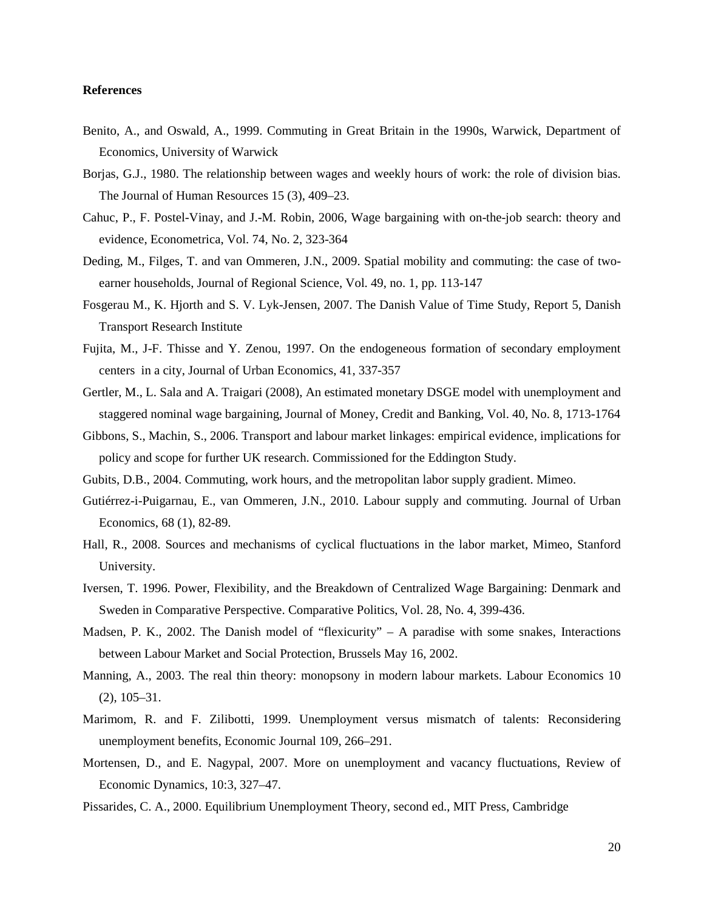#### **References**

- Benito, A., and Oswald, A., 1999. Commuting in Great Britain in the 1990s, Warwick, Department of Economics, University of Warwick
- Borjas, G.J., 1980. The relationship between wages and weekly hours of work: the role of division bias. The Journal of Human Resources 15 (3), 409–23.
- Cahuc, P., F. Postel-Vinay, and J.-M. Robin, 2006, Wage bargaining with on-the-job search: theory and evidence, Econometrica, Vol. 74, No. 2, 323-364
- Deding, M., Filges, T. and van Ommeren, J.N., 2009. Spatial mobility and commuting: the case of twoearner households, Journal of Regional Science, Vol. 49, no. 1, pp. 113-147
- Fosgerau M., K. Hjorth and S. V. Lyk-Jensen, 2007. The Danish Value of Time Study, Report 5, Danish Transport Research Institute
- Fujita, M., J-F. Thisse and Y. Zenou, 1997. On the endogeneous formation of secondary employment centers in a city, Journal of Urban Economics, 41, 337-357
- Gertler, M., L. Sala and A. Traigari (2008), An estimated monetary DSGE model with unemployment and staggered nominal wage bargaining, Journal of Money, Credit and Banking, Vol. 40, No. 8, 1713-1764
- Gibbons, S., Machin, S., 2006. Transport and labour market linkages: empirical evidence, implications for policy and scope for further UK research. Commissioned for the Eddington Study.
- Gubits, D.B., 2004. Commuting, work hours, and the metropolitan labor supply gradient. Mimeo.
- Gutiérrez-i-Puigarnau, E., van Ommeren, J.N., 2010. Labour supply and commuting. Journal of Urban Economics, 68 (1), 82-89.
- Hall, R., 2008. Sources and mechanisms of cyclical fluctuations in the labor market, Mimeo, Stanford University.
- Iversen, T. 1996. Power, Flexibility, and the Breakdown of Centralized Wage Bargaining: Denmark and Sweden in Comparative Perspective. Comparative Politics, Vol. 28, No. 4, 399-436.
- Madsen, P. K., 2002. The Danish model of "flexicurity" A paradise with some snakes, Interactions between Labour Market and Social Protection, Brussels May 16, 2002.
- Manning, A., 2003. The real thin theory: monopsony in modern labour markets. Labour Economics 10 (2), 105–31.
- Marimom, R. and F. Zilibotti, 1999. Unemployment versus mismatch of talents: Reconsidering unemployment benefits, Economic Journal 109, 266–291.
- Mortensen, D., and E. Nagypal, 2007. More on unemployment and vacancy fluctuations, Review of Economic Dynamics, 10:3, 327–47.
- Pissarides, C. A., 2000. Equilibrium Unemployment Theory, second ed., MIT Press, Cambridge